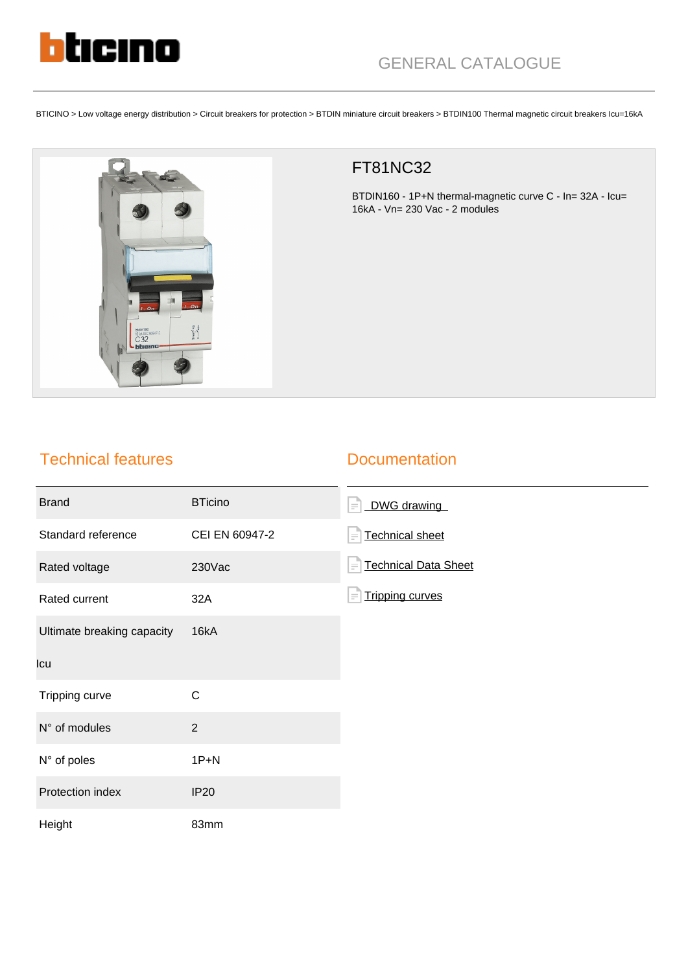

BTICINO > Low voltage energy distribution > Circuit breakers for protection > BTDIN miniature circuit breakers > BTDIN100 Thermal magnetic circuit breakers Icu=16kA



## FT81NC32

BTDIN160 - 1P+N thermal-magnetic curve C - In= 32A - Icu= 16kA - Vn= 230 Vac - 2 modules

## Technical features

## **Documentation**

| <b>Brand</b>               | <b>BTicino</b> | DWG drawing<br>$\equiv$                 |
|----------------------------|----------------|-----------------------------------------|
| Standard reference         | CEI EN 60947-2 | <b>Technical sheet</b><br>$\equiv$      |
| Rated voltage              | 230Vac         | <b>Technical Data Sheet</b><br>$\equiv$ |
| Rated current              | 32A            | <b>Tripping curves</b><br>$\equiv$      |
| Ultimate breaking capacity | 16kA           |                                         |
| Icu                        |                |                                         |
| Tripping curve             | $\mathsf{C}$   |                                         |
| N° of modules              | $\overline{2}$ |                                         |
| N° of poles                | $1P+N$         |                                         |
| Protection index           | <b>IP20</b>    |                                         |
| Height                     | 83mm           |                                         |